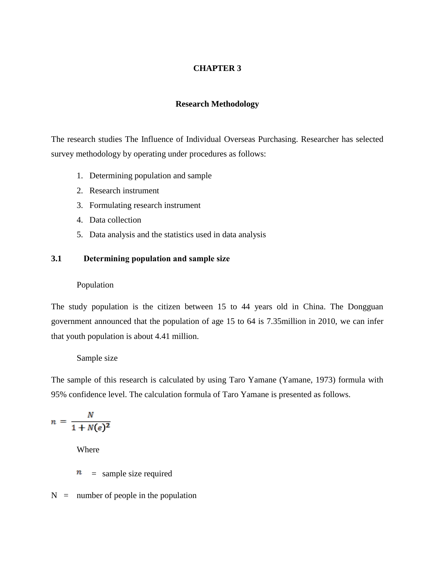# **CHAPTER 3**

### **Research Methodology**

The research studies The Influence of Individual Overseas Purchasing. Researcher has selected survey methodology by operating under procedures as follows:

- 1. Determining population and sample
- 2. Research instrument
- 3. Formulating research instrument
- 4. Data collection
- 5. Data analysis and the statistics used in data analysis

## **3.1 Determining population and sample size**

### Population

The study population is the citizen between 15 to 44 years old in China. The Dongguan government announced that the population of age 15 to 64 is 7.35million in 2010, we can infer that youth population is about 4.41 million.

#### Sample size

The sample of this research is calculated by using Taro Yamane (Yamane, 1973) formula with 95% confidence level. The calculation formula of Taro Yamane is presented as follows.

$$
n = \frac{N}{1 + N(e)^2}
$$

Where

n = sample size required

 $N =$  number of people in the population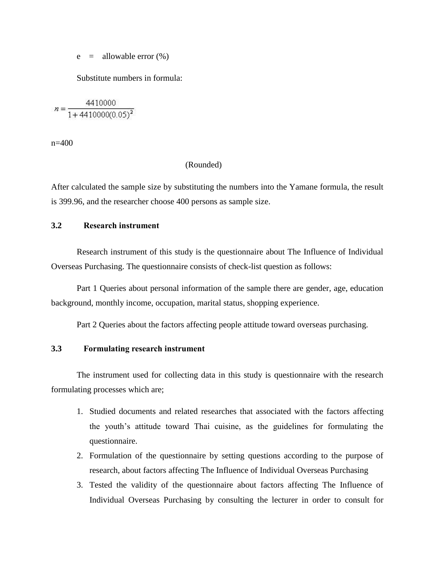$e =$  allowable error  $(\%)$ 

Substitute numbers in formula:

 $n = \frac{4410000}{1 + 4410000(0.05)^2}$ 

n=400

(Rounded)

After calculated the sample size by substituting the numbers into the Yamane formula, the result is 399.96, and the researcher choose 400 persons as sample size.

## **3.2 Research instrument**

Research instrument of this study is the questionnaire about The Influence of Individual Overseas Purchasing. The questionnaire consists of check-list question as follows:

Part 1 Queries about personal information of the sample there are gender, age, education background, monthly income, occupation, marital status, shopping experience.

Part 2 Queries about the factors affecting people attitude toward overseas purchasing.

### **3.3 Formulating research instrument**

The instrument used for collecting data in this study is questionnaire with the research formulating processes which are;

- 1. Studied documents and related researches that associated with the factors affecting the youth's attitude toward Thai cuisine, as the guidelines for formulating the questionnaire.
- 2. Formulation of the questionnaire by setting questions according to the purpose of research, about factors affecting The Influence of Individual Overseas Purchasing
- 3. Tested the validity of the questionnaire about factors affecting The Influence of Individual Overseas Purchasing by consulting the lecturer in order to consult for